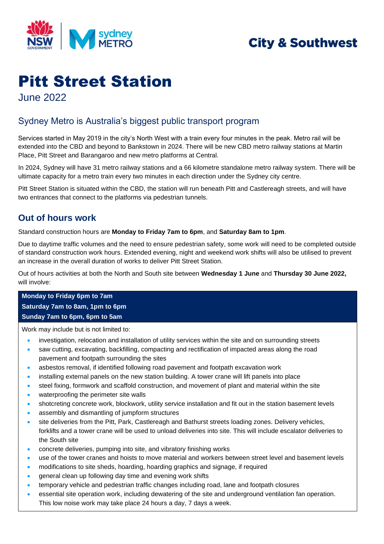

## **City & Southwest**

# Pitt Street Station

June 2022

#### Sydney Metro is Australia's biggest public transport program

Services started in May 2019 in the city's North West with a train every four minutes in the peak. Metro rail will be extended into the CBD and beyond to Bankstown in 2024. There will be new CBD metro railway stations at Martin Place, Pitt Street and Barangaroo and new metro platforms at Central.

In 2024, Sydney will have 31 metro railway stations and a 66 kilometre standalone metro railway system. There will be ultimate capacity for a metro train every two minutes in each direction under the Sydney city centre.

Pitt Street Station is situated within the CBD, the station will run beneath Pitt and Castlereagh streets, and will have two entrances that connect to the platforms via pedestrian tunnels.

#### **Out of hours work**

Standard construction hours are **Monday to Friday 7am to 6pm**, and **Saturday 8am to 1pm**.

Due to daytime traffic volumes and the need to ensure pedestrian safety, some work will need to be completed outside of standard construction work hours. Extended evening, night and weekend work shifts will also be utilised to prevent an increase in the overall duration of works to deliver Pitt Street Station.

Out of hours activities at both the North and South site between **Wednesday 1 June** and **Thursday 30 June 2022,** will involve:

#### **Monday to Friday 6pm to 7am Saturday 7am to 8am, 1pm to 6pm Sunday 7am to 6pm, 6pm to 5am**

Work may include but is not limited to:

- investigation, relocation and installation of utility services within the site and on surrounding streets
- saw cutting, excavating, backfilling, compacting and rectification of impacted areas along the road pavement and footpath surrounding the sites
- asbestos removal, if identified following road pavement and footpath excavation work
- installing external panels on the new station building. A tower crane will lift panels into place
- steel fixing, formwork and scaffold construction, and movement of plant and material within the site
- waterproofing the perimeter site walls
- shotcreting concrete work, blockwork, utility service installation and fit out in the station basement levels
- assembly and dismantling of jumpform structures
- site deliveries from the Pitt, Park, Castlereagh and Bathurst streets loading zones. Delivery vehicles, forklifts and a tower crane will be used to unload deliveries into site. This will include escalator deliveries to the South site
- concrete deliveries, pumping into site, and vibratory finishing works
- use of the tower cranes and hoists to move material and workers between street level and basement levels
- modifications to site sheds, hoarding, hoarding graphics and signage, if required
- general clean up following day time and evening work shifts
- temporary vehicle and pedestrian traffic changes including road, lane and footpath closures
- essential site operation work, including dewatering of the site and underground ventilation fan operation. This low noise work may take place 24 hours a day, 7 days a week.